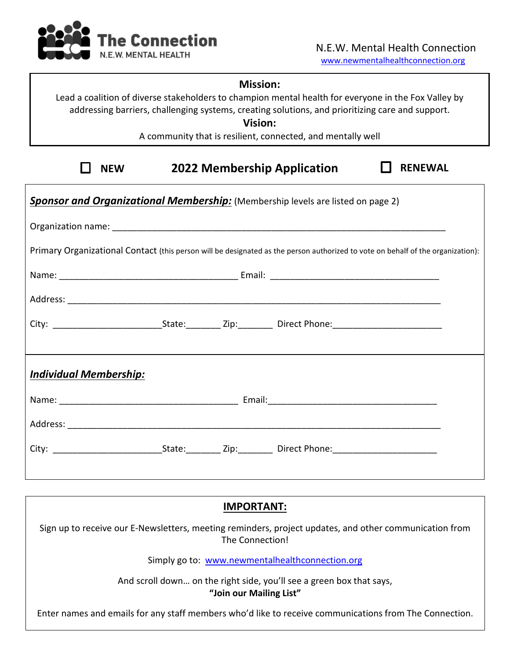

## **Mission:**

Lead a coalition of diverse stakeholders to champion mental health for everyone in the Fox Valley by addressing barriers, challenging systems, creating solutions, and prioritizing care and support.

**Vision:**

A community that is resilient, connected, and mentally well

| W<br>NFI |
|----------|
|----------|

**2022 Membership Application NEW RENEWAL**

| <b>Sponsor and Organizational Membership:</b> (Membership levels are listed on page 2)                                          |  |  |  |  |  |  |
|---------------------------------------------------------------------------------------------------------------------------------|--|--|--|--|--|--|
|                                                                                                                                 |  |  |  |  |  |  |
| Primary Organizational Contact (this person will be designated as the person authorized to vote on behalf of the organization): |  |  |  |  |  |  |
|                                                                                                                                 |  |  |  |  |  |  |
|                                                                                                                                 |  |  |  |  |  |  |
|                                                                                                                                 |  |  |  |  |  |  |
|                                                                                                                                 |  |  |  |  |  |  |
| <b>Individual Membership:</b>                                                                                                   |  |  |  |  |  |  |
|                                                                                                                                 |  |  |  |  |  |  |
|                                                                                                                                 |  |  |  |  |  |  |
|                                                                                                                                 |  |  |  |  |  |  |
|                                                                                                                                 |  |  |  |  |  |  |